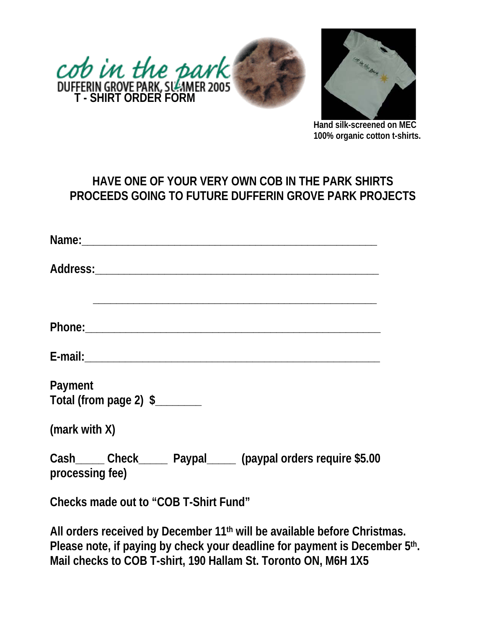



**Hand silk-screened on MEC 100% organic cotton t-shirts.**

# **HAVE ONE OF YOUR VERY OWN COB IN THE PARK SHIRTS PROCEEDS GOING TO FUTURE DUFFERIN GROVE PARK PROJECTS**

| Payment<br>Total (from page 2) \$________                                         |
|-----------------------------------------------------------------------------------|
| (mark with X)                                                                     |
| Cash_____ Check_____ Paypal_____ (paypal orders require \$5.00<br>processing fee) |
| Checks made out to "COB T-Shirt Fund"                                             |

**All orders received by December 11th will be available before Christmas. Please note, if paying by check your deadline for payment is December 5th. Mail checks to COB T-shirt, 190 Hallam St. Toronto ON, M6H 1X5**